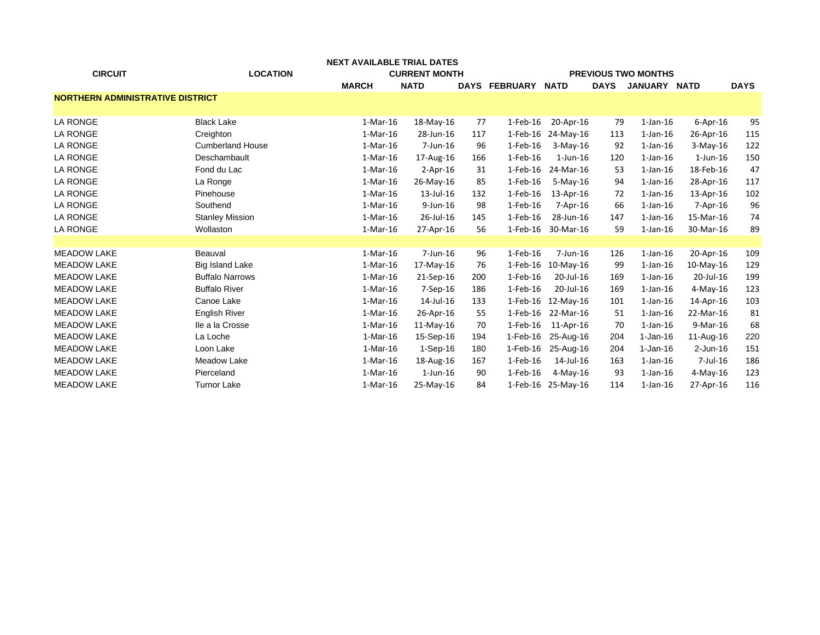|                                         | NEXT AVAILABLE TRIAL DATES |                      |                |     |                |                            |             |                |                |             |  |
|-----------------------------------------|----------------------------|----------------------|----------------|-----|----------------|----------------------------|-------------|----------------|----------------|-------------|--|
| <b>CIRCUIT</b>                          | <b>LOCATION</b>            | <b>CURRENT MONTH</b> |                |     |                | <b>PREVIOUS TWO MONTHS</b> |             |                |                |             |  |
|                                         |                            | <b>MARCH</b>         | <b>NATD</b>    |     | DAYS FEBRUARY  | <b>NATD</b>                | <b>DAYS</b> | JANUARY NATD   |                | <b>DAYS</b> |  |
| <b>NORTHERN ADMINISTRATIVE DISTRICT</b> |                            |                      |                |     |                |                            |             |                |                |             |  |
|                                         |                            |                      |                |     |                |                            |             |                |                |             |  |
| LA RONGE                                | <b>Black Lake</b>          | $1-Mar-16$           | 18-May-16      | 77  | $1-Feb-16$     | 20-Apr-16                  | 79          | $1$ -Jan- $16$ | $6 - Apr - 16$ | 95          |  |
| LA RONGE                                | Creighton                  | $1-Mar-16$           | 28-Jun-16      | 117 | $1$ -Feb- $16$ | 24-May-16                  | 113         | $1$ -Jan- $16$ | 26-Apr-16      | 115         |  |
| <b>LA RONGE</b>                         | <b>Cumberland House</b>    | $1-Mar-16$           | 7-Jun-16       | 96  | $1-Feb-16$     | $3-Mav-16$                 | 92          | $1$ -Jan- $16$ | $3-May-16$     | 122         |  |
| LA RONGE                                | Deschambault               | $1-Mar-16$           | 17-Aug-16      | 166 | $1-Feb-16$     | $1$ -Jun- $16$             | 120         | $1$ -Jan-16    | $1$ -Jun-16    | 150         |  |
| LA RONGE                                | Fond du Lac                | 1-Mar-16             | $2-Apr-16$     | 31  | $1-Feb-16$     | 24-Mar-16                  | 53          | $1$ -Jan- $16$ | 18-Feb-16      | 47          |  |
| <b>LA RONGE</b>                         | La Ronge                   | $1-Mar-16$           | 26-May-16      | 85  | $1$ -Feb- $16$ | 5-May-16                   | 94          | $1$ -Jan-16    | 28-Apr-16      | 117         |  |
| LA RONGE                                | Pinehouse                  | $1-Mar-16$           | 13-Jul-16      | 132 | $1-Feb-16$     | 13-Apr-16                  | 72          | $1$ -Jan- $16$ | 13-Apr-16      | 102         |  |
| LA RONGE                                | Southend                   | $1-Mar-16$           | $9$ -Jun-16    | 98  | $1-Feb-16$     | $7-Apr-16$                 | 66          | $1$ -Jan- $16$ | $7-Apr-16$     | 96          |  |
| <b>LA RONGE</b>                         | <b>Stanley Mission</b>     | $1-Mar-16$           | 26-Jul-16      | 145 | $1$ -Feb- $16$ | 28-Jun-16                  | 147         | $1$ -Jan-16    | 15-Mar-16      | 74          |  |
| LA RONGE                                | Wollaston                  | $1-Mar-16$           | 27-Apr-16      | 56  | $1-Feb-16$     | 30-Mar-16                  | 59          | $1$ -Jan- $16$ | 30-Mar-16      | 89          |  |
|                                         |                            |                      |                |     |                |                            |             |                |                |             |  |
| <b>MEADOW LAKE</b>                      | Beauval                    | $1-Mar-16$           | 7-Jun-16       | 96  | $1-Feb-16$     | 7-Jun-16                   | 126         | $1$ -Jan- $16$ | 20-Apr-16      | 109         |  |
| <b>MEADOW LAKE</b>                      | Big Island Lake            | 1-Mar-16             | 17-May-16      | 76  | $1-Feb-16$     | $10$ -May-16               | 99          | $1$ -Jan- $16$ | $10$ -May-16   | 129         |  |
| <b>MEADOW LAKE</b>                      | <b>Buffalo Narrows</b>     | $1-Mar-16$           | 21-Sep-16      | 200 | $1-Feb-16$     | 20-Jul-16                  | 169         | $1$ -Jan- $16$ | 20-Jul-16      | 199         |  |
| <b>MEADOW LAKE</b>                      | <b>Buffalo River</b>       | $1-Mar-16$           | $7-$ Sep $-16$ | 186 | $1-Feb-16$     | 20-Jul-16                  | 169         | $1$ -Jan-16    | 4-May-16       | 123         |  |
| <b>MEADOW LAKE</b>                      | Canoe Lake                 | 1-Mar-16             | 14-Jul-16      | 133 | $1-Feb-16$     | $12$ -May-16               | 101         | $1$ -Jan- $16$ | 14-Apr-16      | 103         |  |
| <b>MEADOW LAKE</b>                      | <b>English River</b>       | $1-Mar-16$           | 26-Apr-16      | 55  | $1$ -Feb- $16$ | 22-Mar-16                  | 51          | $1$ -Jan-16    | 22-Mar-16      | 81          |  |
| <b>MEADOW LAKE</b>                      | lle a la Crosse            | 1-Mar-16             | $11-May-16$    | 70  | $1-Feb-16$     | $11$ -Apr-16               | 70          | $1$ -Jan- $16$ | 9-Mar-16       | 68          |  |
| <b>MEADOW LAKE</b>                      | La Loche                   | 1-Mar-16             | 15-Sep-16      | 194 | 1-Feb-16       | 25-Aug-16                  | 204         | 1-Jan-16       | 11-Aug-16      | 220         |  |
| <b>MEADOW LAKE</b>                      | Loon Lake                  | 1-Mar-16             | $1$ -Sep-16    | 180 | 1-Feb-16       | 25-Aug-16                  | 204         | $1$ -Jan-16    | 2-Jun-16       | 151         |  |
| <b>MEADOW LAKE</b>                      | Meadow Lake                | $1-Mar-16$           | 18-Aug-16      | 167 | $1-Feb-16$     | 14-Jul-16                  | 163         | $1$ -Jan- $16$ | $7$ -Jul-16    | 186         |  |
| <b>MEADOW LAKE</b>                      | Pierceland                 | $1-Mar-16$           | $1$ -Jun-16    | 90  | $1$ -Feb- $16$ | $4-May-16$                 | 93          | $1$ -Jan- $16$ | $4$ -May-16    | 123         |  |
| <b>MEADOW LAKE</b>                      | <b>Turnor Lake</b>         | 1-Mar-16             | 25-May-16      | 84  |                | 1-Feb-16 25-May-16         | 114         | $1$ -Jan- $16$ | 27-Apr-16      | 116         |  |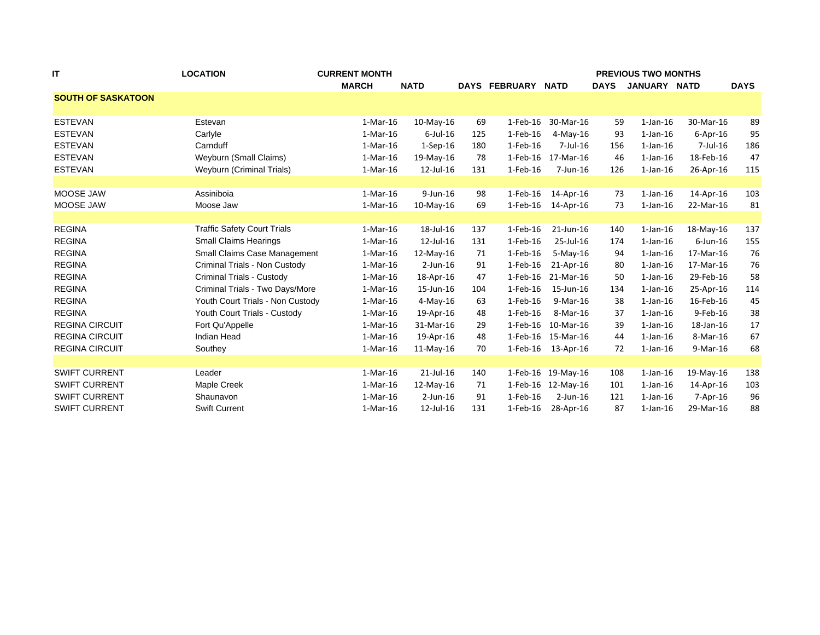| IT                        | <b>LOCATION</b>                    | <b>CURRENT MONTH</b> |              |     |                | <b>PREVIOUS TWO MONTHS</b> |             |                |                |             |  |  |
|---------------------------|------------------------------------|----------------------|--------------|-----|----------------|----------------------------|-------------|----------------|----------------|-------------|--|--|
|                           |                                    | <b>MARCH</b>         | <b>NATD</b>  |     | DAYS FEBRUARY  | <b>NATD</b>                | <b>DAYS</b> | JANUARY NATD   |                | <b>DAYS</b> |  |  |
| <b>SOUTH OF SASKATOON</b> |                                    |                      |              |     |                |                            |             |                |                |             |  |  |
|                           |                                    |                      |              |     |                |                            |             |                |                |             |  |  |
| <b>ESTEVAN</b>            | Estevan                            | $1-Mar-16$           | $10$ -May-16 | 69  | 1-Feb-16       | 30-Mar-16                  | 59          | $1$ -Jan- $16$ | 30-Mar-16      | 89          |  |  |
| <b>ESTEVAN</b>            | Carlyle                            | $1-Mar-16$           | $6$ -Jul-16  | 125 | 1-Feb-16       | $4-May-16$                 | 93          | $1$ -Jan-16    | $6 - Apr - 16$ | 95          |  |  |
| <b>ESTEVAN</b>            | Carnduff                           | $1-Mar-16$           | $1-Sep-16$   | 180 | $1-Feb-16$     | $7$ -Jul-16                | 156         | $1$ -Jan- $16$ | 7-Jul-16       | 186         |  |  |
| <b>ESTEVAN</b>            | Weyburn (Small Claims)             | $1-Mar-16$           | 19-May-16    | 78  | 1-Feb-16       | 17-Mar-16                  | 46          | $1$ -Jan- $16$ | 18-Feb-16      | 47          |  |  |
| <b>ESTEVAN</b>            | Weyburn (Criminal Trials)          | $1-Mar-16$           | 12-Jul-16    | 131 | 1-Feb-16       | 7-Jun-16                   | 126         | $1$ -Jan- $16$ | 26-Apr-16      | 115         |  |  |
|                           |                                    |                      |              |     |                |                            |             |                |                |             |  |  |
| MOOSE JAW                 | Assiniboia                         | $1-Mar-16$           | $9$ -Jun-16  | 98  | $1-Feb-16$     | 14-Apr-16                  | 73          | $1$ -Jan- $16$ | 14-Apr-16      | 103         |  |  |
| MOOSE JAW                 | Moose Jaw                          | $1-Mar-16$           | $10-May-16$  | 69  | $1-Feb-16$     | 14-Apr-16                  | 73          | $1$ -Jan- $16$ | 22-Mar-16      | 81          |  |  |
|                           |                                    |                      |              |     |                |                            |             |                |                |             |  |  |
| <b>REGINA</b>             | <b>Traffic Safety Court Trials</b> | $1-Mar-16$           | 18-Jul-16    | 137 | $1$ -Feb-16    | 21-Jun-16                  | 140         | $1$ -Jan-16    | 18-May-16      | 137         |  |  |
| <b>REGINA</b>             | <b>Small Claims Hearings</b>       | $1-Mar-16$           | 12-Jul-16    | 131 | $1-Feb-16$     | 25-Jul-16                  | 174         | $1$ -Jan-16    | $6$ -Jun-16    | 155         |  |  |
| <b>REGINA</b>             | Small Claims Case Management       | $1-Mar-16$           | $12$ -May-16 | 71  | $1-Feb-16$     | 5-May-16                   | 94          | $1$ -Jan-16    | 17-Mar-16      | 76          |  |  |
| <b>REGINA</b>             | Criminal Trials - Non Custody      | $1-Mar-16$           | $2$ -Jun-16  | 91  | $1-Feb-16$     | 21-Apr-16                  | 80          | $1$ -Jan- $16$ | 17-Mar-16      | 76          |  |  |
| <b>REGINA</b>             | Criminal Trials - Custody          | $1-Mar-16$           | 18-Apr-16    | 47  | 1-Feb-16       | 21-Mar-16                  | 50          | $1$ -Jan- $16$ | 29-Feb-16      | 58          |  |  |
| <b>REGINA</b>             | Criminal Trials - Two Days/More    | $1-Mar-16$           | 15-Jun-16    | 104 | $1$ -Feb- $16$ | 15-Jun-16                  | 134         | $1$ -Jan- $16$ | 25-Apr-16      | 114         |  |  |
| <b>REGINA</b>             | Youth Court Trials - Non Custody   | $1-Mar-16$           | $4$ -May-16  | 63  | $1-Feb-16$     | 9-Mar-16                   | 38          | $1$ -Jan-16    | 16-Feb-16      | 45          |  |  |
| <b>REGINA</b>             | Youth Court Trials - Custody       | 1-Mar-16             | 19-Apr-16    | 48  | 1-Feb-16       | 8-Mar-16                   | 37          | $1$ -Jan- $16$ | 9-Feb-16       | 38          |  |  |
| <b>REGINA CIRCUIT</b>     | Fort Qu'Appelle                    | $1-Mar-16$           | 31-Mar-16    | 29  | $1$ -Feb- $16$ | 10-Mar-16                  | 39          | $1$ -Jan-16    | 18-Jan-16      | 17          |  |  |
| <b>REGINA CIRCUIT</b>     | Indian Head                        | $1-Mar-16$           | 19-Apr-16    | 48  | 1-Feb-16       | 15-Mar-16                  | 44          | $1$ -Jan- $16$ | 8-Mar-16       | 67          |  |  |
| <b>REGINA CIRCUIT</b>     | Southey                            | 1-Mar-16             | $11-May-16$  | 70  | 1-Feb-16       | 13-Apr-16                  | 72          | $1$ -Jan- $16$ | 9-Mar-16       | 68          |  |  |
|                           |                                    |                      |              |     |                |                            |             |                |                |             |  |  |
| <b>SWIFT CURRENT</b>      | Leader                             | $1-Mar-16$           | $21$ -Jul-16 | 140 | 1-Feb-16       | 19-May-16                  | 108         | $1$ -Jan-16    | 19-May-16      | 138         |  |  |
| <b>SWIFT CURRENT</b>      | Maple Creek                        | $1-Mar-16$           | $12$ -May-16 | 71  |                | 1-Feb-16 12-May-16         | 101         | $1$ -Jan-16    | 14-Apr-16      | 103         |  |  |
| <b>SWIFT CURRENT</b>      | Shaunavon                          | $1-Mar-16$           | $2$ -Jun-16  | 91  | $1-Feb-16$     | $2$ -Jun-16                | 121         | $1$ -Jan-16    | $7-Apr-16$     | 96          |  |  |
| <b>SWIFT CURRENT</b>      | <b>Swift Current</b>               | $1-Mar-16$           | 12-Jul-16    | 131 | $1-Feb-16$     | 28-Apr-16                  | 87          | $1$ -Jan- $16$ | 29-Mar-16      | 88          |  |  |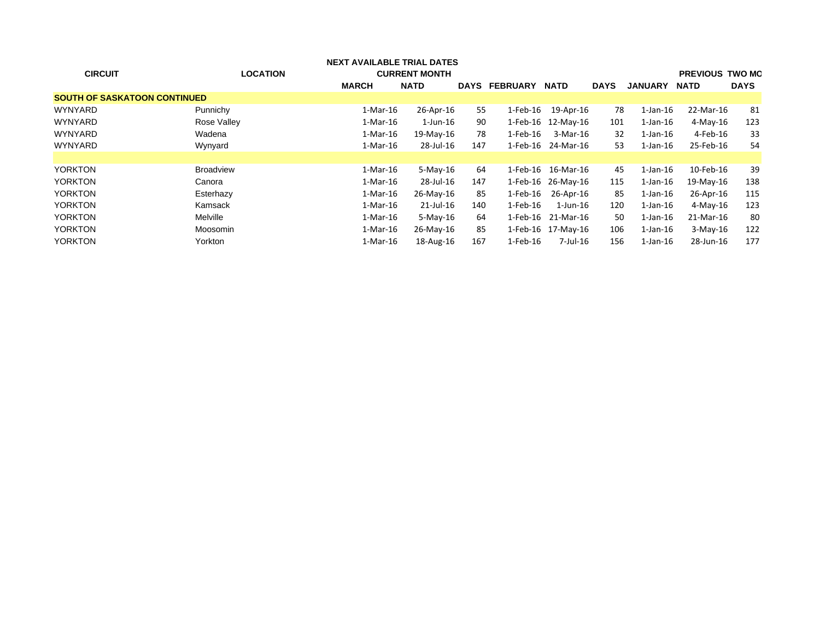| <b>CIRCUIT</b>                      | <b>LOCATION</b>  | <b>NEXT AVAILABLE TRIAL DATES</b><br><b>MARCH</b> | <b>CURRENT MONTH</b><br><b>NATD</b> |     | DAYS FEBRUARY  | <b>NATD</b>        | <b>DAYS</b> | <b>JANUARY</b> | <b>PREVIOUS TWO MC</b><br><b>NATD</b> | <b>DAYS</b> |
|-------------------------------------|------------------|---------------------------------------------------|-------------------------------------|-----|----------------|--------------------|-------------|----------------|---------------------------------------|-------------|
| <b>SOUTH OF SASKATOON CONTINUED</b> |                  |                                                   |                                     |     |                |                    |             |                |                                       |             |
| <b>WYNYARD</b>                      | Punnichy         | 1-Mar-16                                          | 26-Apr-16                           | 55  | 1-Feb-16       | 19-Apr-16          | 78          | $1$ -Jan- $16$ | 22-Mar-16                             | 81          |
| <b>WYNYARD</b>                      | Rose Valley      | 1-Mar-16                                          | 1-Jun-16                            | 90  |                | 1-Feb-16 12-May-16 | 101         | $1$ -Jan- $16$ | 4-May-16                              | 123         |
| <b>WYNYARD</b>                      | Wadena           | 1-Mar-16                                          | 19-May-16                           | 78  | $1-Feb-16$     | 3-Mar-16           | 32          | $1$ -Jan- $16$ | 4-Feb-16                              | 33          |
| <b>WYNYARD</b>                      | Wynyard          | $1-Mar-16$                                        | 28-Jul-16                           | 147 | 1-Feb-16       | 24-Mar-16          | 53          | $1$ -Jan- $16$ | 25-Feb-16                             | 54          |
|                                     |                  |                                                   |                                     |     |                |                    |             |                |                                       |             |
| <b>YORKTON</b>                      | <b>Broadview</b> | 1-Mar-16                                          | $5-Mav-16$                          | 64  | 1-Feb-16       | 16-Mar-16          | 45          | $1$ -Jan- $16$ | 10-Feb-16                             | 39          |
| <b>YORKTON</b>                      | Canora           | 1-Mar-16                                          | 28-Jul-16                           | 147 |                | 1-Feb-16 26-May-16 | 115         | 1-Jan-16       | 19-May-16                             | 138         |
| <b>YORKTON</b>                      | Esterhazy        | 1-Mar-16                                          | 26-May-16                           | 85  | 1-Feb-16       | 26-Apr-16          | 85          | $1$ -Jan- $16$ | 26-Apr-16                             | 115         |
| <b>YORKTON</b>                      | Kamsack          | 1-Mar-16                                          | $21$ -Jul-16                        | 140 | $1$ -Feb- $16$ | $1$ -Jun-16        | 120         | $1$ -Jan- $16$ | 4-May-16                              | 123         |
| <b>YORKTON</b>                      | Melville         | 1-Mar-16                                          | $5-Mav-16$                          | 64  | 1-Feb-16       | 21-Mar-16          | 50          | $1$ -Jan- $16$ | 21-Mar-16                             | 80          |
| <b>YORKTON</b>                      | Moosomin         | 1-Mar-16                                          | 26-May-16                           | 85  |                | 1-Feb-16 17-May-16 | 106         | $1$ -Jan- $16$ | $3-Mav-16$                            | 122         |
| <b>YORKTON</b>                      | Yorkton          | 1-Mar-16                                          | 18-Aug-16                           | 167 | $1-Feb-16$     | 7-Jul-16           | 156         | $1$ -Jan- $16$ | 28-Jun-16                             | 177         |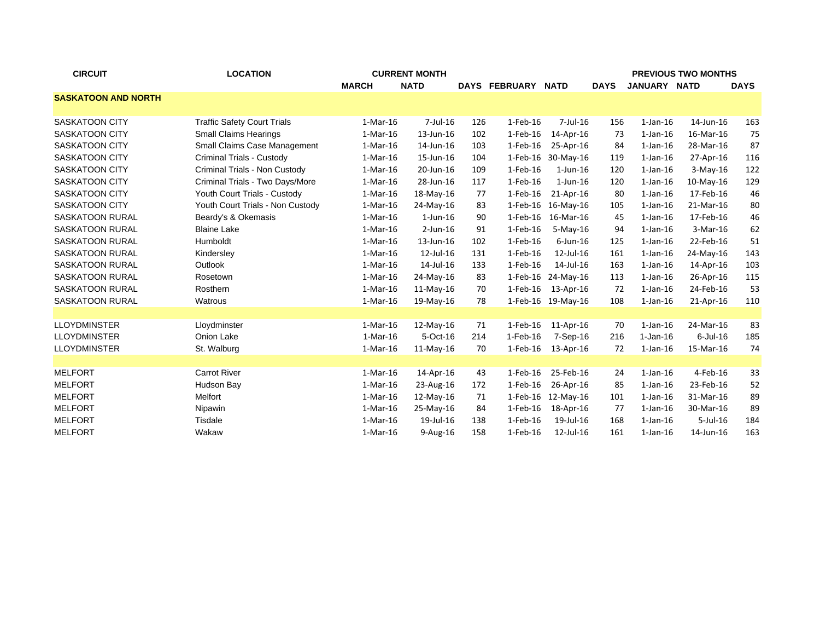| <b>CIRCUIT</b>             | <b>LOCATION</b>                     |              | <b>PREVIOUS TWO MONTHS</b> |     |                      |                    |             |                |             |             |
|----------------------------|-------------------------------------|--------------|----------------------------|-----|----------------------|--------------------|-------------|----------------|-------------|-------------|
|                            |                                     | <b>MARCH</b> | <b>NATD</b>                |     | <b>DAYS FEBRUARY</b> | <b>NATD</b>        | <b>DAYS</b> | JANUARY NATD   |             | <b>DAYS</b> |
| <b>SASKATOON AND NORTH</b> |                                     |              |                            |     |                      |                    |             |                |             |             |
|                            |                                     |              |                            |     |                      |                    |             |                |             |             |
| <b>SASKATOON CITY</b>      | <b>Traffic Safety Court Trials</b>  | $1-Mar-16$   | $7$ -Jul-16                | 126 | $1-Feb-16$           | $7$ -Jul-16        | 156         | $1$ -Jan- $16$ | 14-Jun-16   | 163         |
| <b>SASKATOON CITY</b>      | <b>Small Claims Hearings</b>        | $1-Mar-16$   | 13-Jun-16                  | 102 | $1-Feb-16$           | 14-Apr-16          | 73          | $1$ -Jan- $16$ | 16-Mar-16   | 75          |
| <b>SASKATOON CITY</b>      | <b>Small Claims Case Management</b> | $1-Mar-16$   | 14-Jun-16                  | 103 | 1-Feb-16             | 25-Apr-16          | 84          | $1$ -Jan- $16$ | 28-Mar-16   | 87          |
| <b>SASKATOON CITY</b>      | Criminal Trials - Custody           | 1-Mar-16     | 15-Jun-16                  | 104 | 1-Feb-16             | 30-May-16          | 119         | $1$ -Jan- $16$ | 27-Apr-16   | 116         |
| <b>SASKATOON CITY</b>      | Criminal Trials - Non Custody       | $1-Mar-16$   | 20-Jun-16                  | 109 | 1-Feb-16             | $1$ -Jun- $16$     | 120         | $1$ -Jan- $16$ | $3-May-16$  | 122         |
| <b>SASKATOON CITY</b>      | Criminal Trials - Two Days/More     | $1-Mar-16$   | 28-Jun-16                  | 117 | $1-Feb-16$           | $1$ -Jun-16        | 120         | $1$ -Jan- $16$ | $10-Mav-16$ | 129         |
| <b>SASKATOON CITY</b>      | Youth Court Trials - Custody        | $1-Mar-16$   | 18-May-16                  | 77  | $1$ -Feb- $16$       | 21-Apr-16          | 80          | $1$ -Jan-16    | 17-Feb-16   | 46          |
| <b>SASKATOON CITY</b>      | Youth Court Trials - Non Custody    | $1-Mar-16$   | 24-May-16                  | 83  | $1-Feb-16$           | 16-May-16          | 105         | $1$ -Jan-16    | 21-Mar-16   | 80          |
| SASKATOON RURAL            | Beardy's & Okemasis                 | $1-Mar-16$   | $1$ -Jun- $16$             | 90  | $1$ -Feb- $16$       | 16-Mar-16          | 45          | $1$ -Jan-16    | 17-Feb-16   | 46          |
| SASKATOON RURAL            | <b>Blaine Lake</b>                  | $1-Mar-16$   | $2$ -Jun-16                | 91  | $1-Feb-16$           | $5-Mav-16$         | 94          | $1$ -Jan- $16$ | 3-Mar-16    | 62          |
| <b>SASKATOON RURAL</b>     | Humboldt                            | $1-Mar-16$   | 13-Jun-16                  | 102 | 1-Feb-16             | $6$ -Jun-16        | 125         | $1$ -Jan- $16$ | 22-Feb-16   | 51          |
| <b>SASKATOON RURAL</b>     | Kindersley                          | $1-Mar-16$   | 12-Jul-16                  | 131 | 1-Feb-16             | 12-Jul-16          | 161         | $1$ -Jan- $16$ | 24-May-16   | 143         |
| <b>SASKATOON RURAL</b>     | Outlook                             | $1-Mar-16$   | 14-Jul-16                  | 133 | 1-Feb-16             | 14-Jul-16          | 163         | $1$ -Jan-16    | 14-Apr-16   | 103         |
| <b>SASKATOON RURAL</b>     | Rosetown                            | $1-Mar-16$   | 24-May-16                  | 83  | 1-Feb-16             | 24-May-16          | 113         | $1$ -Jan-16    | 26-Apr-16   | 115         |
| <b>SASKATOON RURAL</b>     | Rosthern                            | $1-Mar-16$   | $11-May-16$                | 70  | $1$ -Feb- $16$       | 13-Apr-16          | 72          | $1$ -Jan- $16$ | 24-Feb-16   | 53          |
| SASKATOON RURAL            | Watrous                             | 1-Mar-16     | 19-May-16                  | 78  |                      | 1-Feb-16 19-May-16 | 108         | $1$ -Jan- $16$ | 21-Apr-16   | 110         |
|                            |                                     |              |                            |     |                      |                    |             |                |             |             |
| <b>LLOYDMINSTER</b>        | Lloydminster                        | $1-Mar-16$   | 12-May-16                  | 71  | $1$ -Feb-16          | 11-Apr-16          | 70          | $1$ -Jan- $16$ | 24-Mar-16   | 83          |
| <b>LLOYDMINSTER</b>        | Onion Lake                          | 1-Mar-16     | 5-Oct-16                   | 214 | 1-Feb-16             | 7-Sep-16           | 216         | 1-Jan-16       | $6$ -Jul-16 | 185         |
| <b>LLOYDMINSTER</b>        | St. Walburg                         | $1-Mar-16$   | $11-Mav-16$                | 70  | 1-Feb-16             | 13-Apr-16          | 72          | $1$ -Jan- $16$ | 15-Mar-16   | 74          |
|                            |                                     |              |                            |     |                      |                    |             |                |             |             |
| <b>MELFORT</b>             | <b>Carrot River</b>                 | $1-Mar-16$   | 14-Apr-16                  | 43  | $1-Feb-16$           | 25-Feb-16          | 24          | $1$ -Jan- $16$ | 4-Feb-16    | 33          |
| <b>MELFORT</b>             | Hudson Bay                          | 1-Mar-16     | 23-Aug-16                  | 172 | 1-Feb-16             | 26-Apr-16          | 85          | $1$ -Jan- $16$ | 23-Feb-16   | 52          |
| <b>MELFORT</b>             | Melfort                             | 1-Mar-16     | 12-May-16                  | 71  | 1-Feb-16             | 12-May-16          | 101         | $1$ -Jan- $16$ | 31-Mar-16   | 89          |
| <b>MELFORT</b>             | Nipawin                             | $1-Mar-16$   | 25-May-16                  | 84  | $1$ -Feb- $16$       | 18-Apr-16          | -77         | $1$ -Jan-16    | 30-Mar-16   | 89          |
| <b>MELFORT</b>             | Tisdale                             | $1-Mar-16$   | 19-Jul-16                  | 138 | 1-Feb-16             | 19-Jul-16          | 168         | $1$ -Jan- $16$ | $5$ -Jul-16 | 184         |
| <b>MELFORT</b>             | Wakaw                               | 1-Mar-16     | $9-Aug-16$                 | 158 | 1-Feb-16             | 12-Jul-16          | 161         | $1$ -Jan- $16$ | 14-Jun-16   | 163         |